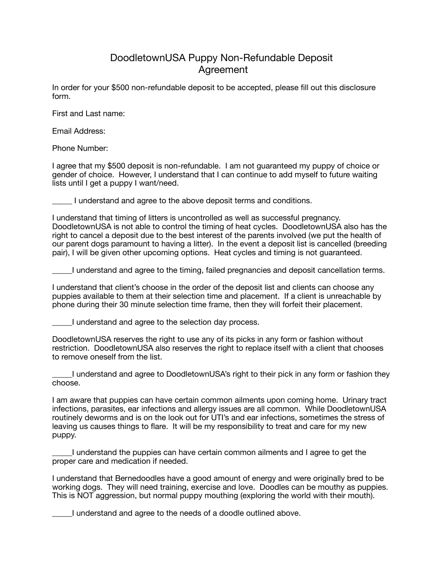## DoodletownUSA Puppy Non-Refundable Deposit Agreement

In order for your \$500 non-refundable deposit to be accepted, please fill out this disclosure form.

First and Last name:

Email Address:

Phone Number:

I agree that my \$500 deposit is non-refundable. I am not guaranteed my puppy of choice or gender of choice. However, I understand that I can continue to add myself to future waiting lists until I get a puppy I want/need.

\_\_\_\_\_ I understand and agree to the above deposit terms and conditions.

I understand that timing of litters is uncontrolled as well as successful pregnancy. DoodletownUSA is not able to control the timing of heat cycles. DoodletownUSA also has the right to cancel a deposit due to the best interest of the parents involved (we put the health of our parent dogs paramount to having a litter). In the event a deposit list is cancelled (breeding pair), I will be given other upcoming options. Heat cycles and timing is not guaranteed.

\_\_\_\_\_I understand and agree to the timing, failed pregnancies and deposit cancellation terms.

I understand that client's choose in the order of the deposit list and clients can choose any puppies available to them at their selection time and placement. If a client is unreachable by phone during their 30 minute selection time frame, then they will forfeit their placement.

\_\_\_\_\_I understand and agree to the selection day process.

DoodletownUSA reserves the right to use any of its picks in any form or fashion without restriction. DoodletownUSA also reserves the right to replace itself with a client that chooses to remove oneself from the list.

\_\_\_\_\_I understand and agree to DoodletownUSA's right to their pick in any form or fashion they choose.

I am aware that puppies can have certain common ailments upon coming home. Urinary tract infections, parasites, ear infections and allergy issues are all common. While DoodletownUSA routinely deworms and is on the look out for UTI's and ear infections, sometimes the stress of leaving us causes things to flare. It will be my responsibility to treat and care for my new puppy.

\_\_\_\_\_I understand the puppies can have certain common ailments and I agree to get the proper care and medication if needed.

I understand that Bernedoodles have a good amount of energy and were originally bred to be working dogs. They will need training, exercise and love. Doodles can be mouthy as puppies. This is NOT aggression, but normal puppy mouthing (exploring the world with their mouth).

\_\_\_\_\_I understand and agree to the needs of a doodle outlined above.